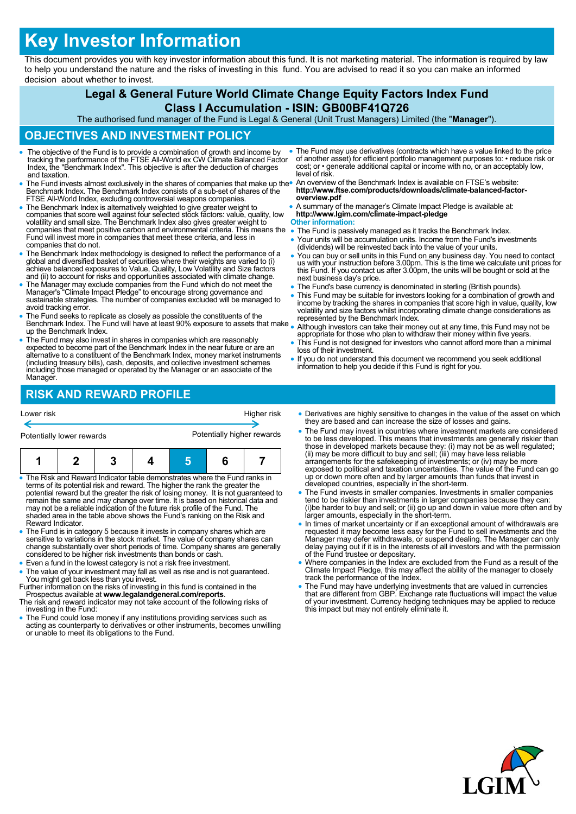# **Key Investor Information**

This document provides you with key investor information about this fund. It is not marketing material. The information is required by law to help you understand the nature and the risks of investing in this fund. You are advised to read it so you can make an informed decision about whether to invest.

# **Legal & General Future World Climate Change Equity Factors Index Fund**

## **Class I Accumulation - ISIN: GB00BF41Q726**

The authorised fund manager of the Fund is Legal & General (Unit Trust Managers) Limited (the "**Manager**").

#### **OBJECTIVES AND INVESTMENT POLICY**

- The objective of the Fund is to provide a combination of growth and income by tracking the performance of the FTSE All-World ex CW Climate Balanced Factor Index, the "Benchmark Index". This objective is after the deduction of charges and taxation.
- The Fund invests almost exclusively in the shares of companies that make up the Benchmark Index. The Benchmark Index consists of a sub-set of shares of the FTSE All-World Index, excluding controversial weapons companies.
- The Benchmark Index is alternatively weighted to give greater weight to companies that score well against four selected stock factors: value, quality, low volatility and small size. The Benchmark Index also gives greater weight to companies that meet positive carbon and environmental criteria. This means the Fund will invest more in companies that meet these criteria, and less in companies that do not.
- The Benchmark Index methodology is designed to reflect the performance of a global and diversified basket of securities where their weights are varied to (i) achieve balanced exposures to Value, Quality, Low Volatility a
- The Manager may exclude companies from the Fund which do not meet the Manager's "Climate Impact Pledge" to encourage strong governance and sustainable strategies. The number of companies excluded will be managed to avoid tracking error.
- The Fund seeks to replicate as closely as possible the constituents of the Benchmark Index. The Fund will have at least 90% exposure to assets that make up the Benchmark Index.
- The Fund may also invest in shares in companies which are reasonably expected to become part of the Benchmark Index in the near future or are an alternative to a constituent of the Benchmark Index, money market instruments (including treasury bills), cash, deposits, and collective investment schemes including those managed or operated by the Manager or an associate of the Manager.

 The Fund may use derivatives (contracts which have a value linked to the price of another asset) for efficient portfolio management purposes to: • reduce risk or cost; or • generate additional capital or income with no, or an acceptably low, level of risk.

 An overview of the Benchmark Index is available on FTSE's website: **http://www.ftse.com/products/downloads/climate-balanced-factoroverview.pdf**

 A summary of the manager's Climate Impact Pledge is available at: **http://www.lgim.com/climate-impact-pledge**

# **Other information:**<br>• The Fund is passi

- The Fund is passively managed as it tracks the Benchmark Index.
- Your units will be accumulation units. Income from the Fund's investments (dividends) will be reinvested back into the value of your units.
- You can buy or sell units in this Fund on any business day. You need to contact us with your instruction before 3.00pm. This is the time we calculate unit prices for this Fund. If you contact us after 3.00pm, the units will be bought or sold at the next business day's price.
- The Fund's base currency is denominated in sterling (British pounds).
- This Fund may be suitable for investors looking for a combination of growth and income by tracking the shares in companies that score high in value, quality, low volatility and size factors whilst incorporating climate change considerations as represented by the Benchmark Index.
- Although investors can take their money out at any time, this Fund may not be appropriate for those who plan to withdraw their money within five years.
- This Fund is not designed for investors who cannot afford more than a minimal loss of their investment.
- If you do not understand this document we recommend you seek additional information to help you decide if this Fund is right for you.

# **RISK AND REWARD PROFILE**

| Lower risk                | Higher risk                |  |  |
|---------------------------|----------------------------|--|--|
|                           |                            |  |  |
| Potentially lower rewards | Potentially higher rewards |  |  |

- The Risk and Reward Indicator table demonstrates where the Fund ranks in terms of its potential risk and reward. The higher the rank the greater the potential reward but the greater the risk of losing money. It is not guaranteed to<br>remain the same and may change over time. It is based on historical data and<br>may not be a reliable indication of the future risk profile of Reward Indicator.
- The Fund is in category 5 because it invests in company shares which are sensitive to variations in the stock market. The value of company shares can change substantially over short periods of time. Company shares are generally considered to be higher risk investments than bonds or cash.
- Even a fund in the lowest category is not a risk free investment.
- The value of your investment may fall as well as rise and is not guaranteed. You might get back less than you invest. Further information on the risks of investing in this fund is contained in the
- Prospectus available at **www.legalandgeneral.com/reports**. The risk and reward indicator may not take account of the following risks of
- investing in the Fund:
- The Fund could lose money if any institutions providing services such as acting as counterparty to derivatives or other instruments, becomes unwilling or unable to meet its obligations to the Fund.
- Derivatives are highly sensitive to changes in the value of the asset on which they are based and can increase the size of losses and gains.
- The Fund may invest in countries where investment markets are considered to be less developed. This means that investments are generally riskier than<br>those in developed markets because they: (i) may not be as well regulated;<br>(ii) may be more difficult to buy and sell; (iii) may have less reliab exposed to political and taxation uncertainties. The value of the Fund can go up or down more often and by larger amounts than funds that invest in developed countries, especially in the short-term.
- The Fund invests in smaller companies. Investments in smaller companies tend to be riskier than investments in larger companies because they can: (i)be harder to buy and sell; or (ii) go up and down in value more often and by larger amounts, especially in the short-term.
- In times of market uncertainty or if an exceptional amount of withdrawals are requested it may become less easy for the Fund to sell investments and the Manager may defer withdrawals, or suspend dealing. The Manager can only delay paying out if it is in the interests of all investors and with the permission of the Fund trustee or depositary.
- Where companies in the Index are excluded from the Fund as a result of the Climate Impact Pledge, this may affect the ability of the manager to closely track the performance of the Index.
- The Fund may have underlying investments that are valued in currencies that are different from GBP. Exchange rate fluctuations will impact the value of your investment. Currency hedging techniques may be applied to reduce this impact but may not entirely eliminate it.